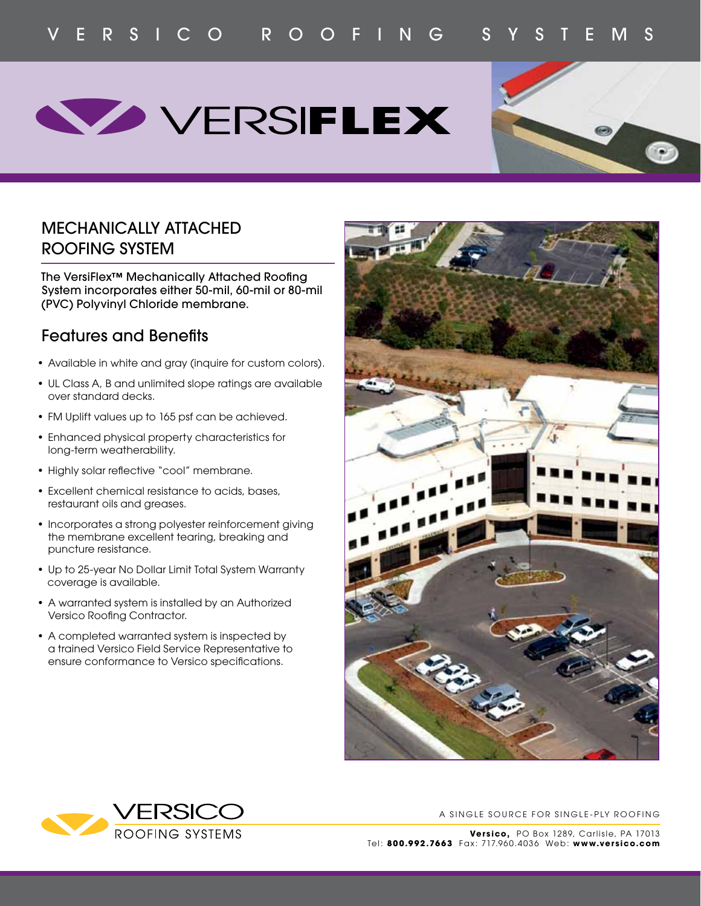## **WERSIFLEX**



## MECHANICALLY ATTACHED ROOFING SYSTEM

The VersiFlex™ Mechanically Attached Roofing System incorporates either 50-mil, 60-mil or 80-mil (PVC) Polyvinyl Chloride membrane.

## Features and Benefits

- Available in white and gray (inquire for custom colors).
- UL Class A, B and unlimited slope ratings are available over standard decks.
- FM Uplift values up to 165 psf can be achieved.
- Enhanced physical property characteristics for long-term weatherability.
- Highly solar reflective "cool" membrane.
- Excellent chemical resistance to acids, bases, restaurant oils and greases.
- Incorporates a strong polyester reinforcement giving the membrane excellent tearing, breaking and puncture resistance.
- Up to 25-year No Dollar Limit Total System Warranty coverage is available.
- A warranted system is installed by an Authorized Versico Roofing Contractor.
- A completed warranted system is inspected by a trained Versico Field Service Representative to ensure conformance to Versico specifications.





A SINGLE SOURCE FOR SINGLE-PLY ROOFING